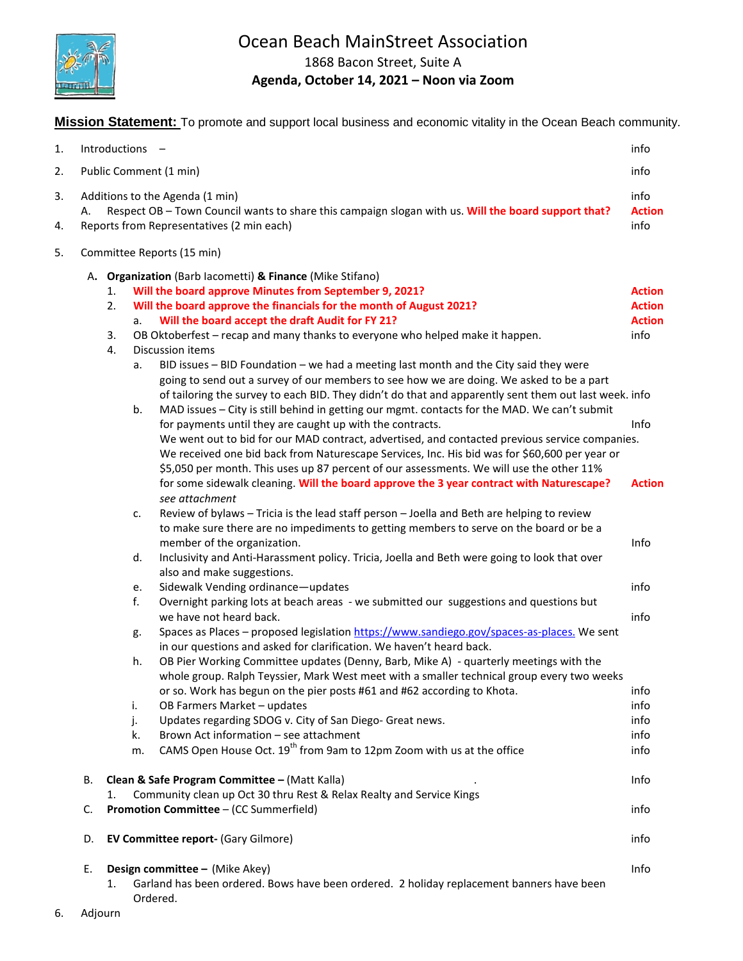

# Ocean Beach MainStreet Association

1868 Bacon Street, Suite A

## **Agenda, October 14, 2021 – Noon via Zoom**

**Mission Statement:** To promote and support local business and economic vitality in the Ocean Beach community.

| 1.       |                                                           |    | Introductions -                                                                                                                                                                                                                                                                                                                                                                                        | info                          |
|----------|-----------------------------------------------------------|----|--------------------------------------------------------------------------------------------------------------------------------------------------------------------------------------------------------------------------------------------------------------------------------------------------------------------------------------------------------------------------------------------------------|-------------------------------|
| 2.       | Public Comment (1 min)                                    |    |                                                                                                                                                                                                                                                                                                                                                                                                        | info                          |
| 3.<br>4. | А.                                                        |    | Additions to the Agenda (1 min)<br>Respect OB - Town Council wants to share this campaign slogan with us. Will the board support that?<br>Reports from Representatives (2 min each)                                                                                                                                                                                                                    | info<br><b>Action</b><br>info |
| 5.       |                                                           |    | Committee Reports (15 min)                                                                                                                                                                                                                                                                                                                                                                             |                               |
|          | A. Organization (Barb lacometti) & Finance (Mike Stifano) |    |                                                                                                                                                                                                                                                                                                                                                                                                        |                               |
|          |                                                           | 1. | Will the board approve Minutes from September 9, 2021?                                                                                                                                                                                                                                                                                                                                                 | <b>Action</b>                 |
|          |                                                           | 2. | Will the board approve the financials for the month of August 2021?                                                                                                                                                                                                                                                                                                                                    | <b>Action</b>                 |
|          |                                                           |    | Will the board accept the draft Audit for FY 21?<br>a.                                                                                                                                                                                                                                                                                                                                                 | <b>Action</b>                 |
|          |                                                           | 3. | OB Oktoberfest - recap and many thanks to everyone who helped make it happen.                                                                                                                                                                                                                                                                                                                          | info                          |
|          |                                                           | 4. | <b>Discussion items</b>                                                                                                                                                                                                                                                                                                                                                                                |                               |
|          |                                                           |    | BID issues - BID Foundation - we had a meeting last month and the City said they were<br>a.<br>going to send out a survey of our members to see how we are doing. We asked to be a part<br>of tailoring the survey to each BID. They didn't do that and apparently sent them out last week. info<br>MAD issues - City is still behind in getting our mgmt. contacts for the MAD. We can't submit<br>b. |                               |
|          |                                                           |    | for payments until they are caught up with the contracts.                                                                                                                                                                                                                                                                                                                                              | Info                          |
|          |                                                           |    | We went out to bid for our MAD contract, advertised, and contacted previous service companies.<br>We received one bid back from Naturescape Services, Inc. His bid was for \$60,600 per year or<br>\$5,050 per month. This uses up 87 percent of our assessments. We will use the other 11%                                                                                                            |                               |
|          |                                                           |    | for some sidewalk cleaning. Will the board approve the 3 year contract with Naturescape?<br>see attachment                                                                                                                                                                                                                                                                                             | <b>Action</b>                 |
|          |                                                           |    | Review of bylaws - Tricia is the lead staff person - Joella and Beth are helping to review<br>c.<br>to make sure there are no impediments to getting members to serve on the board or be a<br>member of the organization.<br>Inclusivity and Anti-Harassment policy. Tricia, Joella and Beth were going to look that over<br>d.                                                                        | Info                          |
|          |                                                           |    | also and make suggestions.                                                                                                                                                                                                                                                                                                                                                                             |                               |
|          |                                                           |    | Sidewalk Vending ordinance-updates<br>e.<br>f.<br>Overnight parking lots at beach areas - we submitted our suggestions and questions but                                                                                                                                                                                                                                                               | info                          |
|          |                                                           |    | we have not heard back.                                                                                                                                                                                                                                                                                                                                                                                | info                          |
|          |                                                           |    | Spaces as Places - proposed legislation https://www.sandiego.gov/spaces-as-places. We sent<br>g.<br>in our questions and asked for clarification. We haven't heard back.                                                                                                                                                                                                                               |                               |
|          |                                                           |    | OB Pier Working Committee updates (Denny, Barb, Mike A) - quarterly meetings with the<br>h.                                                                                                                                                                                                                                                                                                            |                               |
|          |                                                           |    | whole group. Ralph Teyssier, Mark West meet with a smaller technical group every two weeks                                                                                                                                                                                                                                                                                                             |                               |
|          |                                                           |    | or so. Work has begun on the pier posts #61 and #62 according to Khota.                                                                                                                                                                                                                                                                                                                                | info                          |
|          |                                                           |    | OB Farmers Market - updates<br>i.                                                                                                                                                                                                                                                                                                                                                                      | info                          |
|          |                                                           |    | j.<br>Updates regarding SDOG v. City of San Diego- Great news.                                                                                                                                                                                                                                                                                                                                         | info                          |
|          |                                                           |    | Brown Act information - see attachment<br>k.                                                                                                                                                                                                                                                                                                                                                           | info                          |
|          |                                                           |    | CAMS Open House Oct. 19 <sup>th</sup> from 9am to 12pm Zoom with us at the office<br>m.                                                                                                                                                                                                                                                                                                                | info                          |
|          | В.                                                        | 1. | Clean & Safe Program Committee - (Matt Kalla)<br>Community clean up Oct 30 thru Rest & Relax Realty and Service Kings                                                                                                                                                                                                                                                                                  | Info                          |
|          | C.                                                        |    | Promotion Committee - (CC Summerfield)                                                                                                                                                                                                                                                                                                                                                                 | info                          |
|          | D.                                                        |    | EV Committee report- (Gary Gilmore)                                                                                                                                                                                                                                                                                                                                                                    | info                          |
|          | Е.                                                        | 1. | Design committee - (Mike Akey)<br>Garland has been ordered. Bows have been ordered. 2 holiday replacement banners have been<br>Ordered.                                                                                                                                                                                                                                                                | Info                          |